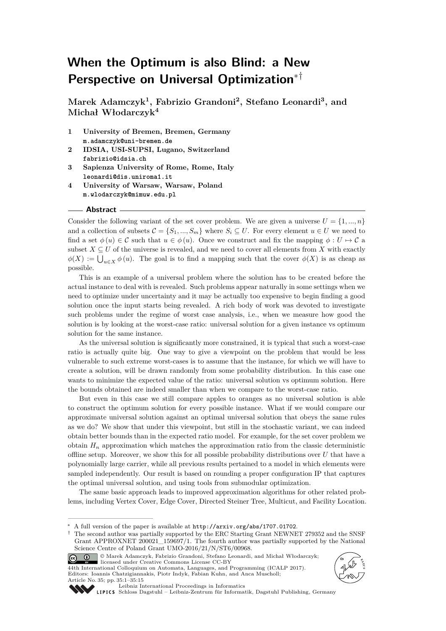# **When the Optimum is also Blind: a New Perspective on Universal Optimization**∗†

**Marek Adamczyk<sup>1</sup> , Fabrizio Grandoni<sup>2</sup> , Stefano Leonardi<sup>3</sup> , and Michał Włodarczyk<sup>4</sup>**

- **1 University of Bremen, Bremen, Germany m.adamczyk@uni-bremen.de**
- **2 IDSIA, USI-SUPSI, Lugano, Switzerland fabrizio@idsia.ch**
- **3 Sapienza University of Rome, Rome, Italy leonardi@dis.uniroma1.it**
- **4 University of Warsaw, Warsaw, Poland m.wlodarczyk@mimuw.edu.pl**

#### **Abstract**

Consider the following variant of the set cover problem. We are given a universe  $U = \{1, ..., n\}$ and a collection of subsets  $\mathcal{C} = \{S_1, ..., S_m\}$  where  $S_i \subseteq U$ . For every element  $u \in U$  we need to find a set  $\phi(u) \in \mathcal{C}$  such that  $u \in \phi(u)$ . Once we construct and fix the mapping  $\phi: U \mapsto \mathcal{C}$  a subset  $X \subseteq U$  of the universe is revealed, and we need to cover all elements from X with exactly  $\phi(X) := \bigcup_{u \in X} \phi(u)$ . The goal is to find a mapping such that the cover  $\phi(X)$  is as cheap as possible.

This is an example of a universal problem where the solution has to be created before the actual instance to deal with is revealed. Such problems appear naturally in some settings when we need to optimize under uncertainty and it may be actually too expensive to begin finding a good solution once the input starts being revealed. A rich body of work was devoted to investigate such problems under the regime of worst case analysis, i.e., when we measure how good the solution is by looking at the worst-case ratio: universal solution for a given instance vs optimum solution for the same instance.

As the universal solution is significantly more constrained, it is typical that such a worst-case ratio is actually quite big. One way to give a viewpoint on the problem that would be less vulnerable to such extreme worst-cases is to assume that the instance, for which we will have to create a solution, will be drawn randomly from some probability distribution. In this case one wants to minimize the expected value of the ratio: universal solution vs optimum solution. Here the bounds obtained are indeed smaller than when we compare to the worst-case ratio.

But even in this case we still compare apples to oranges as no universal solution is able to construct the optimum solution for every possible instance. What if we would compare our approximate universal solution against an optimal universal solution that obeys the same rules as we do? We show that under this viewpoint, but still in the stochastic variant, we can indeed obtain better bounds than in the expected ratio model. For example, for the set cover problem we obtain  $H_n$  approximation which matches the approximation ratio from the classic deterministic offline setup. Moreover, we show this for all possible probability distributions over *U* that have a polynomially large carrier, while all previous results pertained to a model in which elements were sampled independently. Our result is based on rounding a proper configuration IP that captures the optimal universal solution, and using tools from submodular optimization.

The same basic approach leads to improved approximation algorithms for other related problems, including Vertex Cover, Edge Cover, Directed Steiner Tree, Multicut, and Facility Location.

<sup>©</sup> Marek Adamczyk, Fabrizio Grandoni, Stefano Leonardi, and Michał Włodarczyk;  $\circledcirc$   $\circledcirc$ licensed under Creative Commons License CC-BY 44th International Colloquium on Automata, Languages, and Programming (ICALP 2017). Editors: Ioannis Chatzigiannakis, Piotr Indyk, Fabian Kuhn, and Anca Muscholl; Article No. 35; pp. 35:1–35[:15](#page-14-0)





[Leibniz International Proceedings in Informatics](http://www.dagstuhl.de/lipics/)

[Schloss Dagstuhl – Leibniz-Zentrum für Informatik, Dagstuhl Publishing, Germany](http://www.dagstuhl.de)

<sup>∗</sup> A full version of the paper is available at <http://arxiv.org/abs/1707.01702>.

<sup>†</sup> The second author was partially supported by the ERC Starting Grant NEWNET 279352 and the SNSF Grant APPROXNET 200021\_159697/1. The fourth author was partially supported by the National Science Centre of Poland Grant UMO-2016/21/N/ST6/00968.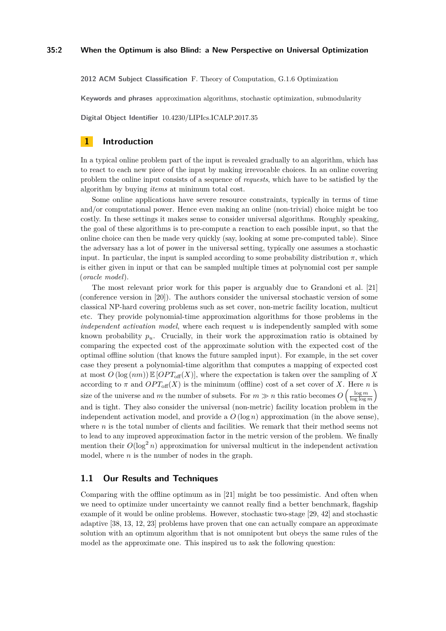**2012 ACM Subject Classification** F. Theory of Computation, G.1.6 Optimization

**Keywords and phrases** approximation algorithms, stochastic optimization, submodularity

**Digital Object Identifier** [10.4230/LIPIcs.ICALP.2017.35](http://dx.doi.org/10.4230/LIPIcs.ICALP.2017.35)

### **1 Introduction**

In a typical online problem part of the input is revealed gradually to an algorithm, which has to react to each new piece of the input by making irrevocable choices. In an online covering problem the online input consists of a sequence of *requests*, which have to be satisfied by the algorithm by buying *items* at minimum total cost.

Some online applications have severe resource constraints, typically in terms of time and/or computational power. Hence even making an online (non-trivial) choice might be too costly. In these settings it makes sense to consider universal algorithms. Roughly speaking, the goal of these algorithms is to pre-compute a reaction to each possible input, so that the online choice can then be made very quickly (say, looking at some pre-computed table). Since the adversary has a lot of power in the universal setting, typically one assumes a stochastic input. In particular, the input is sampled according to some probability distribution  $\pi$ , which is either given in input or that can be sampled multiple times at polynomial cost per sample (*oracle model*).

The most relevant prior work for this paper is arguably due to Grandoni et al. [\[21\]](#page-13-0) (conference version in [\[20\]](#page-13-1)). The authors consider the universal stochastic version of some classical NP-hard covering problems such as set cover, non-metric facility location, multicut etc. They provide polynomial-time approximation algorithms for those problems in the *independent activation model*, where each request *u* is independently sampled with some known probability  $p_u$ . Crucially, in their work the approximation ratio is obtained by comparing the expected cost of the approximate solution with the expected cost of the optimal offline solution (that knows the future sampled input). For example, in the set cover case they present a polynomial-time algorithm that computes a mapping of expected cost at most  $O(\log(nm)) \mathbb{E}[OPT_{\text{off}}(X)]$ , where the expectation is taken over the sampling of X according to  $\pi$  and  $OPT_{\text{off}}(X)$  is the minimum (offline) cost of a set cover of X. Here *n* is size of the universe and *m* the number of subsets. For  $m \gg n$  this ratio becomes  $O\left(\frac{\log m}{\log \log m}\right)$ and is tight. They also consider the universal (non-metric) facility location problem in the independent activation model, and provide a  $O(\log n)$  approximation (in the above sense), where  $n$  is the total number of clients and facilities. We remark that their method seems not to lead to any improved approximation factor in the metric version of the problem. We finally mention their  $O(\log^2 n)$  approximation for universal multicut in the independent activation model, where *n* is the number of nodes in the graph.

### **1.1 Our Results and Techniques**

Comparing with the offline optimum as in [\[21\]](#page-13-0) might be too pessimistic. And often when we need to optimize under uncertainty we cannot really find a better benchmark, flagship example of it would be online problems. However, stochastic two-stage [\[29,](#page-13-2) [42\]](#page-14-1) and stochastic adaptive [\[38,](#page-14-2) [13,](#page-12-0) [12,](#page-12-1) [23\]](#page-13-3) problems have proven that one can actually compare an approximate solution with an optimum algorithm that is not omnipotent but obeys the same rules of the model as the approximate one. This inspired us to ask the following question: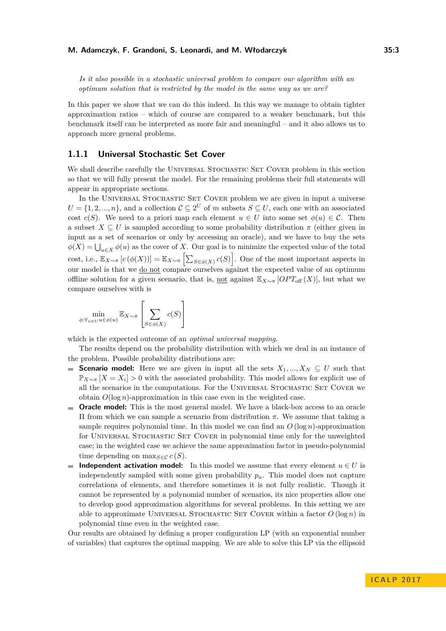*Is it also possible in a stochastic universal problem to compare our algorithm with an optimum solution that is restricted by the model in the same way as we are?*

In this paper we show that we can do this indeed. In this way we manage to obtain tighter approximation ratios – which of course are compared to a weaker benchmark, but this benchmark itself can be interpreted as more fair and meaningful – and it also allows us to approach more general problems.

### **1.1.1 Universal Stochastic Set Cover**

We shall describe carefully the UNIVERSAL STOCHASTIC SET COVER problem in this section so that we will fully present the model. For the remaining problems their full statements will appear in appropriate sections.

In the UNIVERSAL STOCHASTIC SET COVER problem we are given in input a universe  $U = \{1, 2, ..., n\}$ , and a collection  $C \subseteq 2^U$  of *m* subsets  $S \subseteq U$ , each one with an associated cost  $c(S)$ . We need to a priori map each element  $u \in U$  into some set  $\phi(u) \in \mathcal{C}$ . Then a subset  $X \subseteq U$  is sampled according to some probability distribution  $\pi$  (either given in input as a set of scenarios or only by accessing an oracle), and we have to buy the sets  $\phi(X) = \bigcup_{u \in X} \phi(u)$  as the cover of *X*. Our goal is to minimize the expected value of the total cost, i.e.,  $\mathbb{E}_{X \sim \pi} [c(\phi(X))] = \mathbb{E}_{X \sim \pi} \left[ \sum_{S \in \phi(X)} c(S) \right]$ . One of the most important aspects in our model is that we do not compare ourselves against the expected value of an optimum offline solution for a given scenario, that is, <u>not</u> against  $\mathbb{E}_{X\sim\pi}$  [*OPT*<sub>off</sub> (*X*)], but what we compare ourselves with is

$$
\min_{\phi: \forall_{u \in U}} \max_{u \in \phi(u)} \mathbb{E}_{X \sim \pi} \left[ \sum_{S \in \phi(X)} c(S) \right]
$$

which is the expected outcome of an *optimal universal mapping*.

The results depend on the probability distribution with which we deal in an instance of the problem. Possible probability distributions are:

- **Scenario model:** Here we are given in input all the sets  $X_1, ..., X_N \subseteq U$  such that  $\mathbb{P}_{X \sim \pi}$  [*X* = *X*<sub>*i*</sub>] > 0 with the associated probability. This model allows for explicit use of all the scenarios in the computations. For the UNIVERSAL STOCHASTIC SET COVER we obtain *O*(log *n*)-approximation in this case even in the weighted case.
- **Oracle model:** This is the most general model. We have a black-box access to an oracle Π from which we can sample a scenario from distribution *π*. We assume that taking a sample requires polynomial time. In this model we can find an  $O(\log n)$ -approximation for Universal Stochastic Set Cover in polynomial time only for the unweighted case; in the weighted case we achieve the same approximation factor in pseudo-polynomial time depending on  $\max_{S \in \mathcal{C}} c(S)$ .
- **Independent activation model:** In this model we assume that every element  $u \in U$  is m. independently sampled with some given probability  $p<sub>u</sub>$ . This model does not capture correlations of elements, and therefore sometimes it is not fully realistic. Though it cannot be represented by a polynomial number of scenarios, its nice properties allow one to develop good approximation algorithms for several problems. In this setting we are able to approximate UNIVERSAL STOCHASTIC SET COVER within a factor  $O(\log n)$  in polynomial time even in the weighted case.

Our results are obtained by defining a proper configuration LP (with an exponential number of variables) that captures the optimal mapping. We are able to solve this LP via the ellipsoid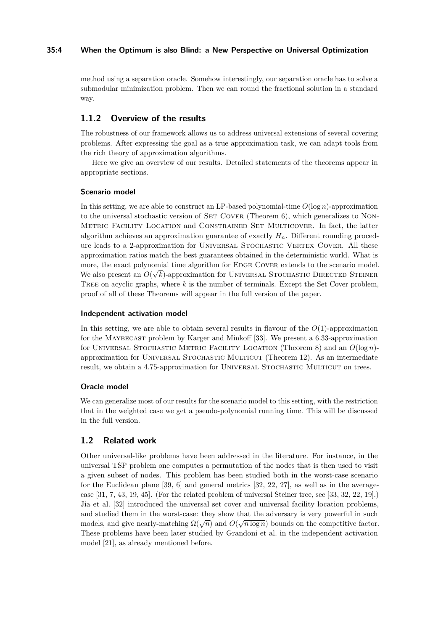### **35:4 When the Optimum is also Blind: a New Perspective on Universal Optimization**

method using a separation oracle. Somehow interestingly, our separation oracle has to solve a submodular minimization problem. Then we can round the fractional solution in a standard way.

# **1.1.2 Overview of the results**

The robustness of our framework allows us to address universal extensions of several covering problems. After expressing the goal as a true approximation task, we can adapt tools from the rich theory of approximation algorithms.

Here we give an overview of our results. Detailed statements of the theorems appear in appropriate sections.

### **Scenario model**

In this setting, we are able to construct an LP-based polynomial-time  $O(\log n)$ -approximation to the universal stochastic version of SET COVER (Theorem [6\)](#page-7-0), which generalizes to NON-Metric Facility Location and Constrained Set Multicover. In fact, the latter algorithm achieves an approximation guarantee of exactly *Hn*. Different rounding procedure leads to a 2-approximation for UNIVERSAL STOCHASTIC VERTEX COVER. All these approximation ratios match the best guarantees obtained in the deterministic world. What is more, the exact polynomial time algorithm for EDGE COVER extends to the scenario model. We also present an  $O(\sqrt{k})$ -approximation for UNIVERSAL STOCHASTIC DIRECTED STEINER Tree on acyclic graphs, where *k* is the number of terminals. Except the Set Cover problem, proof of all of these Theorems will appear in the full version of the paper.

### **Independent activation model**

In this setting, we are able to obtain several results in flavour of the *O*(1)-approximation for the Maybecast problem by Karger and Minkoff [\[33\]](#page-13-4). We present a 6.33-approximation for Universal Stochastic Metric Facility Location (Theorem [8\)](#page-8-0) and an *O*(log *n*) approximation for Universal Stochastic Multicut (Theorem [12\)](#page-11-0). As an intermediate result, we obtain a 4.75-approximation for UNIVERSAL STOCHASTIC MULTICUT on trees.

### **Oracle model**

We can generalize most of our results for the scenario model to this setting, with the restriction that in the weighted case we get a pseudo-polynomial running time. This will be discussed in the full version.

### **1.2 Related work**

Other universal-like problems have been addressed in the literature. For instance, in the universal TSP problem one computes a permutation of the nodes that is then used to visit a given subset of nodes. This problem has been studied both in the worst-case scenario for the Euclidean plane [\[39,](#page-14-3) [6\]](#page-12-2) and general metrics [\[32,](#page-13-5) [22,](#page-13-6) [27\]](#page-13-7), as well as in the averagecase [\[31,](#page-13-8) [7,](#page-12-3) [43,](#page-14-4) [19,](#page-13-9) [45\]](#page-14-5). (For the related problem of universal Steiner tree, see [\[33,](#page-13-4) [32,](#page-13-5) [22,](#page-13-6) [19\]](#page-13-9).) Jia et al. [\[32\]](#page-13-5) introduced the universal set cover and universal facility location problems, and studied them in the worst-case: they show that the adversary is very powerful in such models, and give nearly-matching  $\Omega(\sqrt{n})$  and  $O(\sqrt{n \log n})$  bounds on the competitive factor. These problems have been later studied by Grandoni et al. in the independent activation model [\[21\]](#page-13-0), as already mentioned before.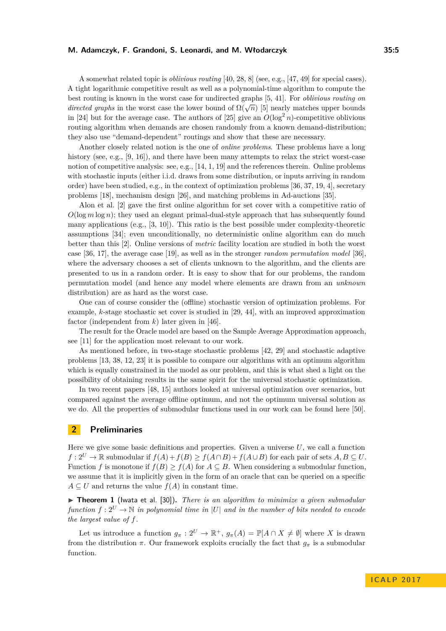A somewhat related topic is *oblivious routing* [\[40,](#page-14-6) [28,](#page-13-10) [8\]](#page-12-4) (see, e.g., [\[47,](#page-14-7) [49\]](#page-14-8) for special cases). A tight logarithmic competitive result as well as a polynomial-time algorithm to compute the best routing is known in the worst case for undirected graphs [\[5,](#page-12-5) [41\]](#page-14-9). For *oblivious routing on directed graphs* in the worst case the lower bound of  $\Omega(\sqrt{n})$  [\[5\]](#page-12-5) nearly matches upper bounds *directed graphs* in the worst case the lower bound of  $\Omega(\sqrt{n})$  [5] nearly matches upper bounds in [\[24\]](#page-13-11) but for the average case. The authors of [\[25\]](#page-13-12) give an  $O(\log^2 n)$ -competitive oblivious routing algorithm when demands are chosen randomly from a known demand-distribution; they also use "demand-dependent" routings and show that these are necessary.

Another closely related notion is the one of *online problems*. These problems have a long history (see, e.g., [\[9,](#page-12-6) [16\]](#page-13-13)), and there have been many attempts to relax the strict worst-case notion of competitive analysis: see, e.g., [\[14,](#page-12-7) [1,](#page-12-8) [19\]](#page-13-9) and the references therein. Online problems with stochastic inputs (either i.i.d. draws from some distribution, or inputs arriving in random order) have been studied, e.g., in the context of optimization problems [\[36,](#page-14-10) [37,](#page-14-11) [19,](#page-13-9) [4\]](#page-12-9), secretary problems [\[18\]](#page-13-14), mechanism design [\[26\]](#page-13-15), and matching problems in Ad-auctions [\[35\]](#page-14-12).

Alon et al. [\[2\]](#page-12-10) gave the first online algorithm for set cover with a competitive ratio of  $O(\log m \log n)$ ; they used an elegant primal-dual-style approach that has subsequently found many applications (e.g.,  $[3, 10]$  $[3, 10]$  $[3, 10]$ ). This ratio is the best possible under complexity-theoretic assumptions [\[34\]](#page-14-13); even unconditionally, no deterministic online algorithm can do much better than this [\[2\]](#page-12-10). Online versions of *metric* facility location are studied in both the worst case [\[36,](#page-14-10) [17\]](#page-13-16), the average case [\[19\]](#page-13-9), as well as in the stronger *random permutation model* [\[36\]](#page-14-10), where the adversary chooses a set of clients unknown to the algorithm, and the clients are presented to us in a random order. It is easy to show that for our problems, the random permutation model (and hence any model where elements are drawn from an *unknown* distribution) are as hard as the worst case.

One can of course consider the (offline) stochastic version of optimization problems. For example, *k*-stage stochastic set cover is studied in [\[29,](#page-13-2) [44\]](#page-14-14), with an improved approximation factor (independent from *k*) later given in [\[46\]](#page-14-15).

The result for the Oracle model are based on the Sample Average Approximation approach, see [\[11\]](#page-12-13) for the application most relevant to our work.

As mentioned before, in two-stage stochastic problems [\[42,](#page-14-1) [29\]](#page-13-2) and stochastic adaptive problems [\[13,](#page-12-0) [38,](#page-14-2) [12,](#page-12-1) [23\]](#page-13-3) it is possible to compare our algorithms with an optimum algorithm which is equally constrained in the model as our problem, and this is what shed a light on the possibility of obtaining results in the same spirit for the universal stochastic optimization.

In two recent papers [\[48,](#page-14-16) [15\]](#page-13-17) authors looked at universal optimization over scenarios, but compared against the average offline optimum, and not the optimum universal solution as we do. All the properties of submodular functions used in our work can be found here [\[50\]](#page-14-17).

# **2 Preliminaries**

Here we give some basic definitions and properties. Given a universe *U*, we call a function  $f: 2^U \to \mathbb{R}$  submodular if  $f(A) + f(B) \ge f(A \cap B) + f(A \cup B)$  for each pair of sets  $A, B \subseteq U$ . Function *f* is monotone if  $f(B) \ge f(A)$  for  $A \subseteq B$ . When considering a submodular function, we assume that it is implicitly given in the form of an oracle that can be queried on a specific  $A \subseteq U$  and returns the value  $f(A)$  in constant time.

<span id="page-4-0"></span>▶ **Theorem 1** (Iwata et al. [\[30\]](#page-13-18)). *There is an algorithm to minimize a given submodular function*  $f: 2^U \to \mathbb{N}$  *in polynomial time in* |*U*| *and in the number of bits needed to encode the largest value of f.*

Let us introduce a function  $g_{\pi}: 2^U \to \mathbb{R}^+$ ,  $g_{\pi}(A) = \mathbb{P}[A \cap X \neq \emptyset]$  where X is drawn from the distribution  $\pi$ . Our framework exploits crucially the fact that  $g_{\pi}$  is a submodular function.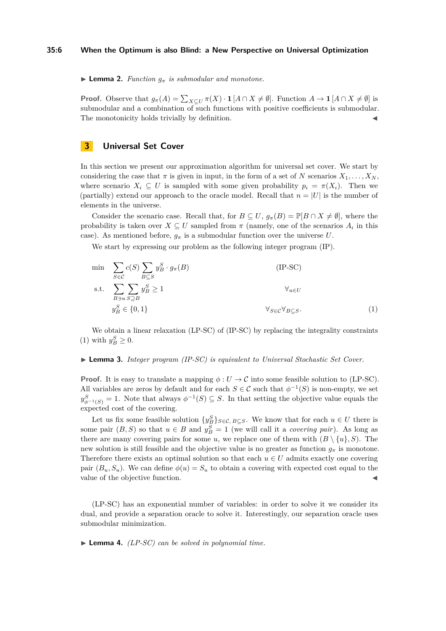#### **35:6 When the Optimum is also Blind: a New Perspective on Universal Optimization**

**I Lemma 2.** *Function*  $g_{\pi}$  *is submodular and monotone.* 

**Proof.** Observe that  $g_{\pi}(A) = \sum_{X \subseteq U} \pi(X) \cdot \mathbf{1}[A \cap X \neq \emptyset]$ . Function  $A \to \mathbf{1}[A \cap X \neq \emptyset]$  is submodular and a combination of such functions with positive coefficients is submodular. The monotonicity holds trivially by definition.

# **3 Universal Set Cover**

In this section we present our approximation algorithm for universal set cover. We start by considering the case that  $\pi$  is given in input, in the form of a set of *N* scenarios  $X_1, \ldots, X_N$ , where scenario  $X_i \subseteq U$  is sampled with some given probability  $p_i = \pi(X_i)$ . Then we (partially) extend our approach to the oracle model. Recall that  $n = |U|$  is the number of elements in the universe.

Consider the scenario case. Recall that, for  $B \subseteq U$ ,  $g_{\pi}(B) = \mathbb{P}[B \cap X \neq \emptyset]$ , where the probability is taken over  $X \subseteq U$  sampled from  $\pi$  (namely, one of the scenarios  $A_i$  in this case). As mentioned before,  $g_{\pi}$  is a submodular function over the universe *U*.

We start by expressing our problem as the following integer program  $(\text{IP})$ .

<span id="page-5-0"></span>
$$
\min \sum_{S \in \mathcal{C}} c(S) \sum_{B \subseteq S} y_B^S \cdot g_\pi(B) \qquad (\text{IP-SC})
$$
\n
$$
\text{s.t.} \sum_{B \ni u} \sum_{S \supseteq B} y_B^S \ge 1 \qquad \forall_{u \in U}
$$
\n
$$
y_B^S \in \{0, 1\} \qquad \forall_{S \in \mathcal{C}} \forall_{B \subseteq S}. \qquad (1)
$$

We obtain a linear relaxation (LP-SC) of (IP-SC) by replacing the integrality constraints [\(1\)](#page-5-0) with  $y_B^S \geq 0$ .

#### ► **Lemma 3.** *Integer program (IP-SC) is equivalent to Universal Stochastic Set Cover.*

**Proof.** It is easy to translate a mapping  $\phi: U \to \mathcal{C}$  into some feasible solution to (LP-SC). All variables are zeros by default and for each  $S \in \mathcal{C}$  such that  $\phi^{-1}(S)$  is non-empty, we set  $y_{\phi^{-1}(S)}^S = 1$ . Note that always  $\phi^{-1}(S) \subseteq S$ . In that setting the objective value equals the expected cost of the covering.

Let us fix some feasible solution  $\{y_B^S\}_{S \in \mathcal{C}, B \subseteq S}$ . We know that for each  $u \in U$  there is some pair  $(B, S)$  so that  $u \in B$  and  $y_B^S = 1$  (we will call it a *covering pair*). As long as there are many covering pairs for some *u*, we replace one of them with  $(B \setminus \{u\}, S)$ . The new solution is still feasible and the objective value is no greater as function  $g_{\pi}$  is monotone. Therefore there exists an optimal solution so that each  $u \in U$  admits exactly one covering pair  $(B_u, S_u)$ . We can define  $\phi(u) = S_u$  to obtain a covering with expected cost equal to the value of the objective function.

(LP-SC) has an exponential number of variables: in order to solve it we consider its dual, and provide a separation oracle to solve it. Interestingly, our separation oracle uses submodular minimization.

<span id="page-5-1"></span> $\blacktriangleright$  **Lemma 4.** *(LP-SC)* can be solved in polynomial time.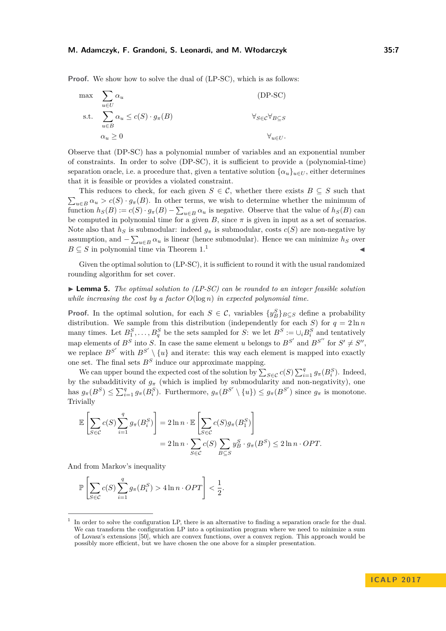**Proof.** We show how to solve the dual of  $(LP-SC)$ , which is as follows:

$$
\max_{u \in U} \sum_{u \in B} \alpha_u \quad \text{(DP-SC)}
$$
\n
$$
\text{s.t.} \sum_{u \in B} \alpha_u \le c(S) \cdot g_\pi(B) \quad \forall_{S \in \mathcal{C}} \forall_{B \subseteq S}
$$
\n
$$
\alpha_u \ge 0 \quad \forall_{u \in U}.
$$

Observe that (DP-SC) has a polynomial number of variables and an exponential number of constraints. In order to solve (DP-SC), it is sufficient to provide a (polynomial-time) separation oracle, i.e. a procedure that, given a tentative solution  $\{\alpha_u\}_{u\in U}$ , either determines that it is feasible or provides a violated constraint.

This reduces to check, for each given  $S \in \mathcal{C}$ , whether there exists  $B \subseteq S$  such that  $\sum_{u \in B} \alpha_u > c(S) \cdot g_{\pi}(B)$ . In other terms, we wish to determine whether the minimum of function  $h_S(B) := c(S) \cdot g_\pi(B) - \sum_{u \in B} \alpha_u$  is negative. Observe that the value of  $h_S(B)$  can be computed in polynomial time for a given  $B$ , since  $\pi$  is given in input as a set of scenarios. Note also that  $h_S$  is submodular: indeed  $g_\pi$  is submodular, costs  $c(S)$  are non-negative by assumption, and  $-\sum_{u \in B} \alpha_u$  is linear (hence submodular). Hence we can minimize  $h_S$  over  $B \subseteq S$  in polynomial time via Theorem [1.](#page-4-0)<sup>[1](#page-6-0)</sup>

Given the optimal solution to (LP-SC), it is sufficient to round it with the usual randomized rounding algorithm for set cover.

<span id="page-6-1"></span> $\blacktriangleright$  **Lemma 5.** *The optimal solution to (LP-SC) can be rounded to an integer feasible solution while increasing the cost by a factor O*(log *n*) *in expected polynomial time.*

**Proof.** In the optimal solution, for each  $S \in \mathcal{C}$ , variables  $\{y_B^S\}_{B \subseteq S}$  define a probability distribution. We sample from this distribution (independently for each *S*) for  $q = 2 \ln n$ many times. Let  $B_1^S, \ldots, B_q^S$  be the sets sampled for *S*: we let  $B^S := \bigcup_i B_i^S$  and tentatively map elements of  $B^S$  into *S*. In case the same element *u* belongs to  $B^{S'}$  and  $B^{S''}$  for  $S' \neq S''$ , we replace  $B^{S'}$  with  $B^{S'} \setminus \{u\}$  and iterate: this way each element is mapped into exactly one set. The final sets  $B<sup>S</sup>$  induce our approximate mapping.

We can upper bound the expected cost of the solution by  $\sum_{S \in \mathcal{C}} c(S) \sum_{i=1}^q g_{\pi}(B_i^S)$ . Indeed, by the subadditivity of  $g_{\pi}$  (which is implied by submodularity and non-negativity), one has  $g_{\pi}(B^S) \le \sum_{i=1}^q g_{\pi}(B_i^S)$ . Furthermore,  $g_{\pi}(B^{S'} \setminus \{u\}) \le g_{\pi}(B^{S'})$  since  $g_{\pi}$  is monotone. Trivially

$$
\mathbb{E}\left[\sum_{S\in\mathcal{C}}c(S)\sum_{i=1}^{q}g_{\pi}(B_i^S)\right] = 2\ln n \cdot \mathbb{E}\left[\sum_{S\in\mathcal{C}}c(S)g_{\pi}(B_1^S)\right]
$$

$$
= 2\ln n \cdot \sum_{S\in\mathcal{C}}c(S)\sum_{B\subseteq S}y_B^S \cdot g_{\pi}(B^S) \le 2\ln n \cdot OPT.
$$

And from Markov's inequality

$$
\mathbb{P}\left[\sum_{S \in \mathcal{C}} c(S) \sum_{i=1}^{q} g_{\pi}(B_i^S) > 4 \ln n \cdot OPT\right] < \frac{1}{2}.
$$

<span id="page-6-0"></span><sup>1</sup> In order to solve the configuration LP, there is an alternative to finding a separation oracle for the dual. We can transform the configuration LP into a optimization program where we need to minimize a sum of Lovasz's extensions [\[50\]](#page-14-17), which are convex functions, over a convex region. This approach would be possibly more efficient, but we have chosen the one above for a simpler presentation.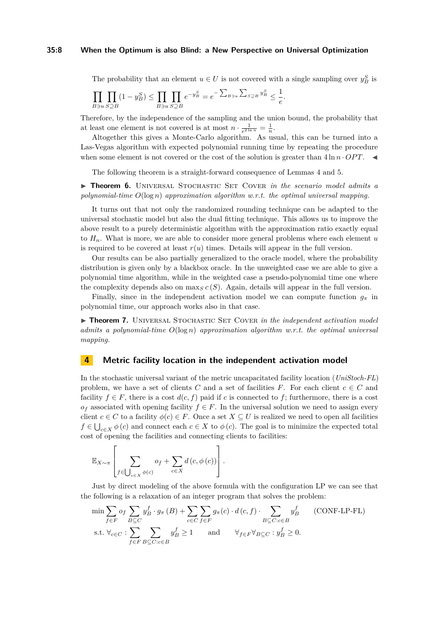#### **35:8 When the Optimum is also Blind: a New Perspective on Universal Optimization**

The probability that an element  $u \in U$  is not covered with a single sampling over  $y_B^S$  is

$$
\prod_{B \ni u} \prod_{S \supseteq B} (1 - y_B^S) \le \prod_{B \ni u} \prod_{S \supseteq B} e^{-y_B^S} = e^{-\sum_{B \ni u} \sum_{S \supseteq B} y_B^S} \le \frac{1}{e}.
$$

Therefore, by the independence of the sampling and the union bound, the probability that at least one element is not covered is at most  $n \cdot \frac{1}{e^{2 \ln n}} = \frac{1}{n}$ .

Altogether this gives a Monte-Carlo algorithm. As usual, this can be turned into a Las-Vegas algorithm with expected polynomial running time by repeating the procedure when some element is not covered or the cost of the solution is greater than  $4 \ln n \cdot OPT$ .

The following theorem is a straight-forward consequence of Lemmas [4](#page-5-1) and [5.](#page-6-1)

<span id="page-7-0"></span>▶ **Theorem 6.** UNIVERSAL STOCHASTIC SET COVER *in the scenario model admits a polynomial-time O*(log *n*) *approximation algorithm w.r.t. the optimal universal mapping.*

It turns out that not only the randomized rounding technique can be adapted to the universal stochastic model but also the dual fitting technique. This allows us to improve the above result to a purely deterministic algorithm with the approximation ratio exactly equal to *Hn*. What is more, we are able to consider more general problems where each element *u* is required to be covered at least  $r(u)$  times. Details will appear in the full version.

Our results can be also partially generalized to the oracle model, where the probability distribution is given only by a blackbox oracle. In the unweighted case we are able to give a polynomial time algorithm, while in the weighted case a pseudo-polynomial time one where the complexity depends also on  $\max_{S} c(S)$ . Again, details will appear in the full version.

Finally, since in the independent activation model we can compute function  $g_{\pi}$  in polynomial time, our approach works also in that case.

**Finder 7.** UNIVERSAL STOCHASTIC SET COVER *in the independent activation model admits a polynomial-time O*(log *n*) *approximation algorithm w.r.t. the optimal universal mapping.*

#### **4 Metric facility location in the independent activation model**

In the stochastic universal variant of the metric uncapacitated facility location (*UniStoch-FL*) problem, we have a set of clients  $C$  and a set of facilities  $F$ . For each client  $c \in C$  and facility  $f \in F$ , there is a cost  $d(c, f)$  paid if *c* is connected to *f*; furthermore, there is a cost  $o_f$  associated with opening facility  $f \in F$ . In the universal solution we need to assign every client  $c \in C$  to a facility  $\phi(c) \in F$ . Once a set  $X \subseteq U$  is realized we need to open all facilities  $f \in \bigcup_{c \in X} \phi(c)$  and connect each  $c \in X$  to  $\phi(c)$ . The goal is to minimize the expected total cost of opening the facilities and connecting clients to facilities:

$$
\mathbb{E}_{X \sim \pi} \left[ \sum_{f \in \bigcup_{c \in X} \phi(c)} o_f + \sum_{c \in X} d(c, \phi(c)) \right].
$$

Just by direct modeling of the above formula with the configuration LP we can see that the following is a relaxation of an integer program that solves the problem:

$$
\min \sum_{f \in F} o_f \sum_{B \subseteq C} y_B^f \cdot g_\pi(B) + \sum_{c \in C} \sum_{f \in F} g_\pi(c) \cdot d(c, f) \cdot \sum_{B \subseteq C : c \in B} y_B^f \qquad \text{(CONF-LP-FL)}
$$
\n
$$
\text{s.t. } \forall_{c \in C} : \sum_{f \in F} \sum_{B \subseteq C : c \in B} y_B^f \ge 1 \qquad \text{and} \qquad \forall_{f \in F} \forall_{B \subseteq C} : y_B^f \ge 0.
$$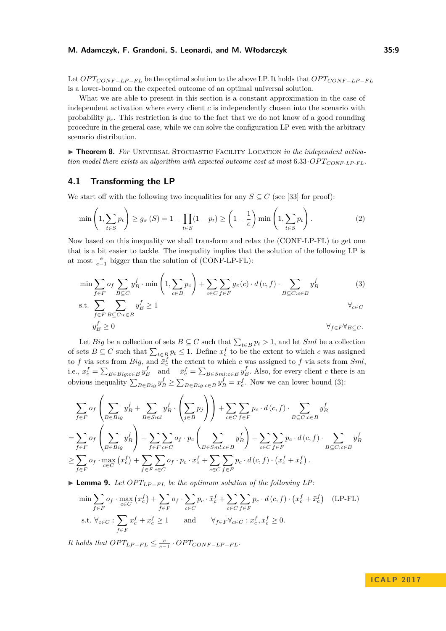Let *OP TCONF* <sup>−</sup>*LP* <sup>−</sup>*F L* be the optimal solution to the above LP. It holds that *OP TCONF* <sup>−</sup>*LP* <sup>−</sup>*F L* is a lower-bound on the expected outcome of an optimal universal solution.

What we are able to present in this section is a constant approximation in the case of independent activation where every client *c* is independently chosen into the scenario with probability *pc*. This restriction is due to the fact that we do not know of a good rounding procedure in the general case, while we can solve the configuration LP even with the arbitrary scenario distribution.

<span id="page-8-0"></span>**Fineorem 8.** For UNIVERSAL STOCHASTIC FACILITY LOCATION in the independent activa*tion model there exists an algorithm with expected outcome cost at most* 6*.*33·*OP TCONF-LP-FL.*

### <span id="page-8-3"></span>**4.1 Transforming the LP**

We start off with the following two inequalities for any  $S \subseteq C$  (see [\[33\]](#page-13-4) for proof):

<span id="page-8-2"></span>
$$
\min\left(1,\sum_{t\in S}p_t\right)\geq g_\pi\left(S\right)=1-\prod_{t\in S}(1-p_t)\geq \left(1-\frac{1}{e}\right)\min\left(1,\sum_{t\in S}p_t\right). \tag{2}
$$

Now based on this inequality we shall transform and relax the (CONF-LP-FL) to get one that is a bit easier to tackle. The inequality implies that the solution of the following LP is at most  $\frac{e}{e-1}$  bigger than the solution of (CONF-LP-FL):

$$
\min \sum_{f \in F} o_f \sum_{B \subseteq C} y_B^f \cdot \min \left( 1, \sum_{c \in B} p_c \right) + \sum_{c \in C} \sum_{f \in F} g_\pi(c) \cdot d(c, f) \cdot \sum_{B \subseteq C : c \in B} y_B^f
$$
(3)  
s.t. 
$$
\sum \sum y_B^f \ge 1
$$
(3)

<span id="page-8-1"></span>
$$
f \in F \ B \subseteq C : c \in B
$$
  

$$
y_B^f \ge 0 \qquad \forall f \in F \ \forall B \subseteq C.
$$

Let *Big* be a collection of sets  $B \subseteq C$  such that  $\sum_{t \in B} p_t > 1$ , and let *Sml* be a collection of sets  $B \subseteq C$  such that  $\sum_{t \in B} p_t \leq 1$ . Define  $x_c^f$  to be the extent to which *c* was assigned to *f* via sets from *Big*, and  $\bar{x}_c^f$  the extent to which *c* was assigned to *f* via sets from *Sml*, i.e.,  $x_c^f = \sum_{B \in Big: c \in B} y_B^f$  and  $\bar{x}_c^f = \sum_{B \in Sml: c \in B} y_B^f$ . Also, for every client c there is an obvious inequality  $\sum_{B \in Big} y_B^f \ge \sum_{B \in Big: c \in B} y_B^f = x_c^f$ . Now we can lower bound [\(3\)](#page-8-1):

$$
\sum_{f \in F} o_f \left( \sum_{B \in Big} y_B^f + \sum_{B \in Sml} y_B^f \cdot \left( \sum_{j \in B} p_j \right) \right) + \sum_{c \in C} \sum_{f \in F} p_c \cdot d(c, f) \cdot \sum_{B \subseteq C: c \in B} y_B^f
$$
\n
$$
= \sum_{f \in F} o_f \left( \sum_{B \in Big} y_B^f \right) + \sum_{f \in F} \sum_{c \in C} o_f \cdot p_c \left( \sum_{B \in Sml:c \in B} y_B^f \right) + \sum_{c \in C} \sum_{f \in F} p_c \cdot d(c, f) \cdot \sum_{B \subseteq C: c \in B} y_B^f
$$
\n
$$
\geq \sum_{f \in F} o_f \cdot \max_{c \in C} (x_c^f) + \sum_{f \in F} \sum_{c \in C} o_f \cdot p_c \cdot \bar{x}_c^f + \sum_{c \in C} \sum_{f \in F} p_c \cdot d(c, f) \cdot \left( x_c^f + \bar{x}_c^f \right).
$$

**► Lemma 9.** Let  $OPT_{LP-FL}$  be the optimum solution of the following LP:

$$
\min \sum_{f \in F} o_f \cdot \max_{c \in C} (x_c^f) + \sum_{f \in F} o_f \cdot \sum_{c \in C} p_c \cdot \bar{x}_c^f + \sum_{c \in C} \sum_{f \in F} p_c \cdot d(c, f) \cdot (x_c^f + \bar{x}_c^f) \quad \text{(LP-FL)}
$$
\n
$$
\text{s.t. } \forall_{c \in C} : \sum_{f \in F} x_c^f + \bar{x}_c^f \ge 1 \qquad \text{and} \qquad \forall_{f \in F} \forall_{c \in C} : x_c^f, \bar{x}_c^f \ge 0.
$$

*It holds that*  $OPT_{LP-FL} \leq \frac{e}{e-1} \cdot OPT_{CONF-LP-FL}$ .

# **I C A L P 2 0 1 7**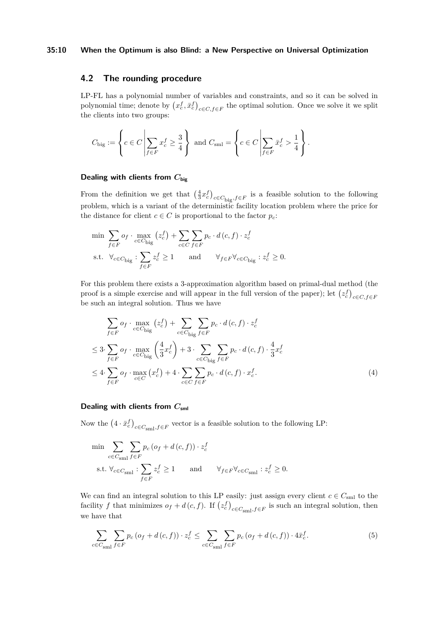### **35:10 When the Optimum is also Blind: a New Perspective on Universal Optimization**

### <span id="page-9-2"></span>**4.2 The rounding procedure**

LP-FL has a polynomial number of variables and constraints, and so it can be solved in polynomial time; denote by  $(x_c^f, \bar{x}_c^f)_{c \in C, f \in F}$  the optimal solution. Once we solve it we split the clients into two groups:

$$
C_{\text{big}} := \left\{ c \in C \, \middle| \, \sum_{f \in F} x_c^f \ge \frac{3}{4} \right\} \text{ and } C_{\text{small}} = \left\{ c \in C \, \middle| \, \sum_{f \in F} \bar{x}_c^f > \frac{1}{4} \right\}.
$$

### **Dealing with clients from** *C***big**

From the definition we get that  $(\frac{4}{3}x_c^f)_{c \in C_{\text{big}}, f \in F}$  is a feasible solution to the following problem, which is a variant of the deterministic facility location problem where the price for the distance for client  $c \in C$  is proportional to the factor  $p_c$ :

$$
\begin{aligned}\n\min \ & \sum_{f \in F} o_f \cdot \max_{c \in C_{\text{big}}} \left( z_c^f \right) + \sum_{c \in C} \sum_{f \in F} p_c \cdot d \left( c, f \right) \cdot z_c^f \\
\text{s.t. } & \forall_{c \in C_{\text{big}}} : \sum_{f \in F} z_c^f \ge 1 \qquad \text{and} \qquad \forall_{f \in F} \forall_{c \in C_{\text{big}}} : z_c^f \ge 0.\n\end{aligned}
$$

For this problem there exists a 3-approximation algorithm based on primal-dual method (the proof is a simple exercise and will appear in the full version of the paper); let  $(z_c^f)_{c \in C, f \in F}$ be such an integral solution. Thus we have

<span id="page-9-0"></span>
$$
\sum_{f \in F} o_f \cdot \max_{c \in C_{\text{big}}} (z_c^f) + \sum_{c \in C_{\text{big}}} \sum_{f \in F} p_c \cdot d(c, f) \cdot z_c^f
$$
\n
$$
\leq 3 \cdot \sum_{f \in F} o_f \cdot \max_{c \in C_{\text{big}}} \left(\frac{4}{3} x_c^f\right) + 3 \cdot \sum_{c \in C_{\text{big}}} \sum_{f \in F} p_c \cdot d(c, f) \cdot \frac{4}{3} x_c^f
$$
\n
$$
\leq 4 \cdot \sum_{f \in F} o_f \cdot \max_{c \in C} (x_c^f) + 4 \cdot \sum_{c \in C} \sum_{f \in F} p_c \cdot d(c, f) \cdot x_c^f. \tag{4}
$$

### **Dealing with clients from**  $C_{\text{sml}}$

Now the  $(4 \cdot \bar{x}_c^f)_{c \in C_{\text{sm}1}, f \in F}$  vector is a feasible solution to the following LP:

$$
\begin{aligned} &\min \ \sum\limits_{c \in C_{\text{sml}}} \sum\limits_{f \in F} p_c \left( o_f + d \left( c, f \right) \right) \cdot z_c^f \\ &\text{s.t. } \forall_{c \in C_{\text{sml}}} : \sum\limits_{f \in F} z_c^f \geq 1 \qquad \text{and} \qquad \forall_{f \in F} \forall_{c \in C_{\text{sml}}} : z_c^f \geq 0. \end{aligned}
$$

We can find an integral solution to this LP easily: just assign every client  $c \in C_{\text{sml}}$  to the facility *f* that minimizes  $o_f + d(c, f)$ . If  $(z_c^f)_{c \in C_{\text{sml}}, f \in F}$  is such an integral solution, then we have that

<span id="page-9-1"></span>
$$
\sum_{c \in C_{\text{sml}}} \sum_{f \in F} p_c \left( o_f + d(c, f) \right) \cdot z_c^f \le \sum_{c \in C_{\text{sml}}} \sum_{f \in F} p_c \left( o_f + d(c, f) \right) \cdot 4 \bar{x}_c^f. \tag{5}
$$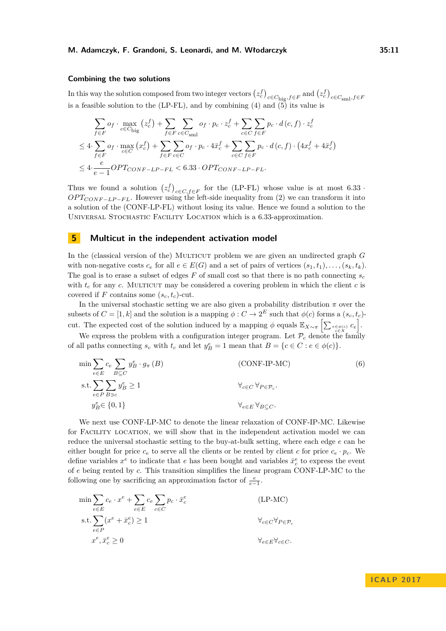#### **Combining the two solutions**

In this way the solution composed from two integer vectors  $(z_c^f)_{c \in C_{\text{big}}, f \in F}$  and  $(z_c^f)_{c \in C_{\text{small}}, f \in F}$ is a feasible solution to the (LP-FL), and by combining [\(4\)](#page-9-0) and  $\tilde{(5)}$  $\tilde{(5)}$  $\tilde{(5)}$  its value is

$$
\sum_{f \in F} o_f \cdot \max_{c \in C_{\text{big}}} (z_c^f) + \sum_{f \in F} \sum_{c \in C_{\text{small}}} o_f \cdot p_c \cdot z_c^f + \sum_{c \in C} \sum_{f \in F} p_c \cdot d(c, f) \cdot z_c^f
$$
\n
$$
\leq 4 \cdot \sum_{f \in F} o_f \cdot \max_{c \in C} (x_c^f) + \sum_{f \in F} \sum_{c \in C} o_f \cdot p_c \cdot 4\bar{x}_c^f + \sum_{c \in C} \sum_{f \in F} p_c \cdot d(c, f) \cdot (4x_c^f + 4\bar{x}_c^f)
$$
\n
$$
\leq 4 \cdot \frac{e}{e - 1} OPT_{CONF - LP - FL} < 6.33 \cdot OPT_{CONF - LP - FL}.
$$

Thus we found a solution  $(z_c^f)_{c \in C, f \in F}$  for the (LP-FL) whose value is at most 6.33 · *OPT<sub>CONF−LP−FL*. However using the left-side inequality from [\(2\)](#page-8-2) we can transform it into</sub> a solution of the (CONF-LP-FL) without losing its value. Hence we found a solution to the Universal Stochastic Facility Location which is a 6*.*33-approximation.

### **5 Multicut in the independent activation model**

In the (classical version of the) MULTICUT problem we are given an undirected graph *G* with non-negative costs  $c_e$  for all  $e \in E(G)$  and a set of pairs of vertices  $(s_1, t_1), \ldots, (s_k, t_k)$ . The goal is to erase a subset of edges  $F$  of small cost so that there is no path connecting  $s_c$ with  $t_c$  for any  $c$ . MULTICUT may be considered a covering problem in which the client  $c$  is covered if *F* contains some  $(s_c, t_c)$ -cut.

In the universal stochastic setting we are also given a probability distribution  $\pi$  over the subsets of  $C = [1, k]$  and the solution is a mapping  $\phi: C \to 2^E$  such that  $\phi(c)$  forms a  $(s_c, t_c)$ cut. The expected cost of the solution induced by a mapping  $\phi$  equals  $\mathbb{E}_{X \sim \pi} \left[ \sum_{e \in \phi(c)} c_e \right]$ .

We express the problem with a configuration integer program. Let  $\mathcal{P}_c$  denote the family of all paths connecting  $s_c$  with  $t_c$  and let  $y_B^e = 1$  mean that  $B = \{c \in C : e \in \phi(c)\}.$ 

$$
\min \sum_{e \in E} c_e \sum_{B \subseteq C} y_B^e \cdot g_\pi(B) \tag{6}
$$
\n
$$
\text{s.t.} \sum_{e \in P} \sum_{B \ni c} y_B^e \ge 1 \qquad \forall_{e \in C} \forall_{P \in \mathcal{P}_c}.
$$
\n
$$
y_B^e \in \{0, 1\} \qquad \forall_{e \in E} \forall_{B \subseteq C}.
$$

We next use CONF-LP-MC to denote the linear relaxation of CONF-IP-MC. Likewise for FACILITY LOCATION, we will show that in the independent activation model we can reduce the universal stochastic setting to the buy-at-bulk setting, where each edge *e* can be either bought for price  $c_e$  to serve all the clients or be rented by client *c* for price  $c_e \cdot p_c$ . We define variables  $x^e$  to indicate that *e* has been bought and variables  $\bar{x}^e_c$  to express the event of *e* being rented by *c*. This transition simplifies the linear program CONF-LP-MC to the following one by sacrificing an approximation factor of  $\frac{e}{e-1}$ .

$$
\min \sum_{e \in E} c_e \cdot x^e + \sum_{e \in E} c_e \sum_{c \in C} p_c \cdot \bar{x}_c^e
$$
\n
$$
\text{s.t.} \sum_{e \in P} (x^e + \bar{x}_c^e) \ge 1 \qquad \forall_{c \in C} \forall_{P \in \mathcal{P}_c}
$$
\n
$$
x^e, \bar{x}_c^e \ge 0 \qquad \forall_{e \in E} \forall_{c \in C}.
$$
\n(LP-MC)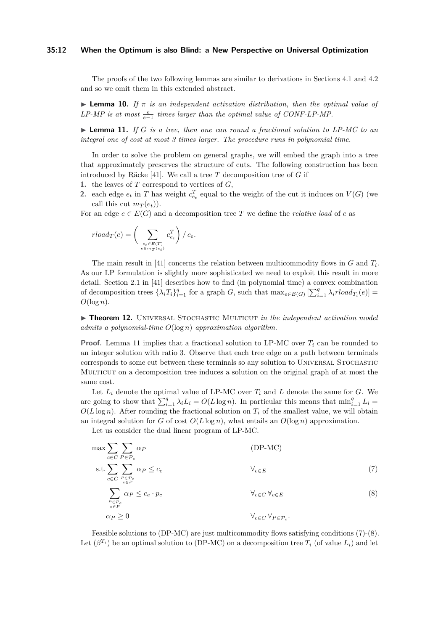#### **35:12 When the Optimum is also Blind: a New Perspective on Universal Optimization**

The proofs of the two following lemmas are similar to derivations in Sections [4.1](#page-8-3) and [4.2](#page-9-2) and so we omit them in this extended abstract.

**Lemma 10.** *If*  $\pi$  *is an independent activation distribution, then the optimal value of*  $LP-MP$  is at most  $\frac{e}{e-1}$  times larger than the optimal value of CONF-LP-MP.

<span id="page-11-1"></span> $\triangleright$  **Lemma 11.** *If G is a tree, then one can round a fractional solution to LP-MC to an integral one of cost at most 3 times larger. The procedure runs in polynomial time.*

In order to solve the problem on general graphs, we will embed the graph into a tree that approximately preserves the structure of cuts. The following construction has been introduced by Räcke [\[41\]](#page-14-9). We call a tree *T* decomposition tree of *G* if

- **1.** the leaves of *T* correspond to vertices of *G*,
- **2.** each edge  $e_t$  in *T* has weight  $c_{e_t}^T$  equal to the weight of the cut it induces on  $V(G)$  (we call this cut  $m_T(e_t)$ ).

For an edge  $e \in E(G)$  and a decomposition tree T we define the *relative load* of *e* as

$$
rload_T(e) = \bigg(\sum_{\substack{e_t \in E(T) \\ e \in m_T(e_t)}} c_{e_t}^T\bigg) / c_e.
$$

The main result in [\[41\]](#page-14-9) concerns the relation between multicommodity flows in *G* and *T<sup>i</sup>* . As our LP formulation is slightly more sophisticated we need to exploit this result in more detail. Section 2.1 in [\[41\]](#page-14-9) describes how to find (in polynomial time) a convex combination of decomposition trees  $\{\lambda_i T_i\}_{i=1}^q$  for a graph *G*, such that  $\max_{e \in E(G)} \left[\sum_{i=1}^q \lambda_i r load_{T_i}(e)\right] =$  $O(\log n)$ .

<span id="page-11-0"></span>**Finder 12.** UNIVERSAL STOCHASTIC MULTICUT *in the independent activation model admits a polynomial-time O*(log *n*) *approximation algorithm.*

**Proof.** Lemma [11](#page-11-1) implies that a fractional solution to LP-MC over  $T_i$  can be rounded to an integer solution with ratio 3. Observe that each tree edge on a path between terminals corresponds to some cut between these terminals so any solution to Universal Stochastic Multicut on a decomposition tree induces a solution on the original graph of at most the same cost.

Let  $L_i$  denote the optimal value of LP-MC over  $T_i$  and  $L$  denote the same for  $G$ . We are going to show that  $\sum_{i=1}^{q} \lambda_i L_i = O(L \log n)$ . In particular this means that  $\min_{i=1}^{q} L_i =$  $O(L \log n)$ . After rounding the fractional solution on  $T_i$  of the smallest value, we will obtain an integral solution for *G* of cost  $O(L \log n)$ , what entails an  $O(\log n)$  approximation.

Let us consider the dual linear program of LP-MC.

<span id="page-11-3"></span><span id="page-11-2"></span>
$$
\max \sum_{c \in C} \sum_{P \in \mathcal{P}_c} \alpha_P
$$
\n
$$
\text{s.t.} \sum_{c \in C} \sum_{\substack{P \in \mathcal{P}_c \\ e \in P}} \alpha_P \le c_e \quad \forall_{e \in E}
$$
\n
$$
\sum_{\substack{P \in \mathcal{P}_c \\ e \in P}} \alpha_P \le c_e \cdot p_c
$$
\n
$$
\forall_{c \in C} \forall_{e \in E}
$$
\n
$$
\alpha_P \ge 0
$$
\n
$$
\forall_{c \in C} \forall_{P \in \mathcal{P}_c}.
$$
\n(8)

Feasible solutions to (DP-MC) are just multicommodity flows satisfying conditions [\(7\)](#page-11-2)-[\(8\)](#page-11-3). Let  $(\beta^{T_i})$  be an optimal solution to (DP-MC) on a decomposition tree  $T_i$  (of value  $L_i$ ) and let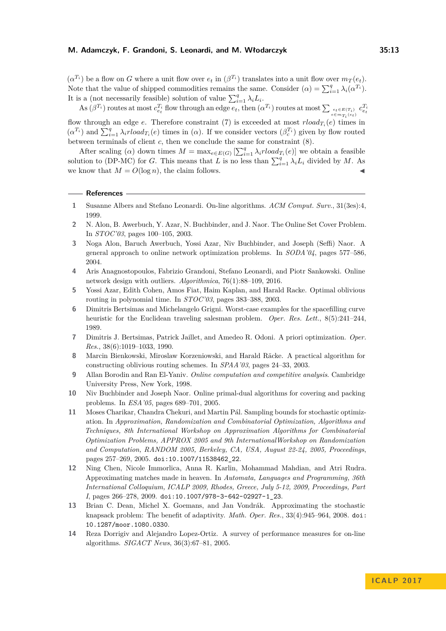$(\alpha^{T_i})$  be a flow on *G* where a unit flow over  $e_t$  in  $(\beta^{T_i})$  translates into a unit flow over  $m_T(e_t)$ . Note that the value of shipped commodities remains the same. Consider  $(\alpha) = \sum_{i=1}^{q} \lambda_i(\alpha^{T_i})$ . It is a (not necessarily feasible) solution of value  $\sum_{i=1}^{q} \lambda_i L_i$ .

 $\text{As }(\beta^{T_i})$  routes at most  $c_{e_t}^{T_i}$  flow through an edge  $e_t$ , then  $(\alpha^{T_i})$  routes at most  $\sum_{e \in m_{T_i}(e_t)} c_{e_t}^{T_i}$ flow through an edge *e*. Therefore constraint [\(7\)](#page-11-2) is exceeded at most  $rload_{T_i}(e)$  times in  $(\alpha^{T_i})$  and  $\sum_{i=1}^q \lambda_i r load_{T_i}(e)$  times in  $(\alpha)$ . If we consider vectors  $(\beta_c^{T_i})$  given by flow routed between terminals of client *c*, then we conclude the same for constraint [\(8\)](#page-11-3).

After scaling ( $\alpha$ ) down times  $M = \max_{e \in E(G)} \left[ \sum_{i=1}^{q} \lambda_i r load_{T_i}(e) \right]$  we obtain a feasible solution to (DP-MC) for *G*. This means that *L* is no less than  $\sum_{i=1}^{q} \lambda_i L_i$  divided by *M*. As we know that  $M = O(\log n)$ , the claim follows.

```
References
```
- <span id="page-12-8"></span>**1** Susanne Albers and Stefano Leonardi. On-line algorithms. *ACM Comput. Surv.*, 31(3es):4, 1999.
- <span id="page-12-10"></span>**2** N. Alon, B. Awerbuch, Y. Azar, N. Buchbinder, and J. Naor. The Online Set Cover Problem. In *STOC'03*, pages 100–105, 2003.
- <span id="page-12-11"></span>**3** Noga Alon, Baruch Awerbuch, Yossi Azar, Niv Buchbinder, and Joseph (Seffi) Naor. A general approach to online network optimization problems. In *SODA'04*, pages 577–586, 2004.
- <span id="page-12-9"></span>**4** Aris Anagnostopoulos, Fabrizio Grandoni, Stefano Leonardi, and Piotr Sankowski. Online network design with outliers. *Algorithmica*, 76(1):88–109, 2016.
- <span id="page-12-5"></span>**5** Yossi Azar, Edith Cohen, Amos Fiat, Haim Kaplan, and Harald Racke. Optimal oblivious routing in polynomial time. In *STOC'03*, pages 383–388, 2003.
- <span id="page-12-2"></span>**6** Dimitris Bertsimas and Michelangelo Grigni. Worst-case examples for the spacefilling curve heuristic for the Euclidean traveling salesman problem. *Oper. Res. Lett.*, 8(5):241–244, 1989.
- <span id="page-12-3"></span>**7** Dimitris J. Bertsimas, Patrick Jaillet, and Amedeo R. Odoni. A priori optimization. *Oper. Res.*, 38(6):1019–1033, 1990.
- <span id="page-12-4"></span>**8** Marcin Bienkowski, Miroslaw Korzeniowski, and Harald Räcke. A practical algorithm for constructing oblivious routing schemes. In *SPAA'03*, pages 24–33, 2003.
- <span id="page-12-6"></span>**9** Allan Borodin and Ran El-Yaniv. *Online computation and competitive analysis*. Cambridge University Press, New York, 1998.
- <span id="page-12-12"></span>**10** Niv Buchbinder and Joseph Naor. Online primal-dual algorithms for covering and packing problems. In *ESA'05*, pages 689–701, 2005.
- <span id="page-12-13"></span>**11** Moses Charikar, Chandra Chekuri, and Martin Pál. Sampling bounds for stochastic optimization. In *Approximation, Randomization and Combinatorial Optimization, Algorithms and Techniques, 8th International Workshop on Approximation Algorithms for Combinatorial Optimization Problems, APPROX 2005 and 9th InternationalWorkshop on Randomization and Computation, RANDOM 2005, Berkeley, CA, USA, August 22-24, 2005, Proceedings*, pages 257–269, 2005. [doi:10.1007/11538462\\_22](http://dx.doi.org/10.1007/11538462_22).
- <span id="page-12-1"></span>**12** Ning Chen, Nicole Immorlica, Anna R. Karlin, Mohammad Mahdian, and Atri Rudra. Approximating matches made in heaven. In *Automata, Languages and Programming, 36th International Colloquium, ICALP 2009, Rhodes, Greece, July 5-12, 2009, Proceedings, Part I*, pages 266–278, 2009. [doi:10.1007/978-3-642-02927-1\\_23](http://dx.doi.org/10.1007/978-3-642-02927-1_23).
- <span id="page-12-0"></span>**13** Brian C. Dean, Michel X. Goemans, and Jan Vondrák. Approximating the stochastic knapsack problem: The benefit of adaptivity. *Math. Oper. Res.*, 33(4):945–964, 2008. [doi:](http://dx.doi.org/10.1287/moor.1080.0330) [10.1287/moor.1080.0330](http://dx.doi.org/10.1287/moor.1080.0330).
- <span id="page-12-7"></span>**14** Reza Dorrigiv and Alejandro Lopez-Ortiz. A survey of performance measures for on-line algorithms. *SIGACT News*, 36(3):67–81, 2005.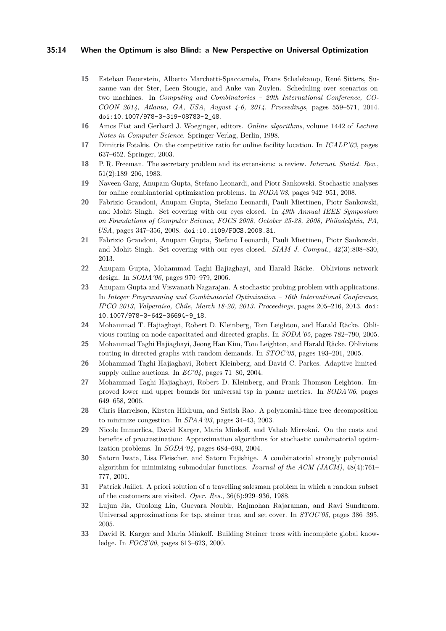#### **35:14 When the Optimum is also Blind: a New Perspective on Universal Optimization**

- <span id="page-13-17"></span>**15** Esteban Feuerstein, Alberto Marchetti-Spaccamela, Frans Schalekamp, René Sitters, Suzanne van der Ster, Leen Stougie, and Anke van Zuylen. Scheduling over scenarios on two machines. In *Computing and Combinatorics – 20th International Conference, CO-COON 2014, Atlanta, GA, USA, August 4-6, 2014. Proceedings*, pages 559–571, 2014. [doi:10.1007/978-3-319-08783-2\\_48](http://dx.doi.org/10.1007/978-3-319-08783-2_48).
- <span id="page-13-13"></span>**16** Amos Fiat and Gerhard J. Woeginger, editors. *Online algorithms*, volume 1442 of *Lecture Notes in Computer Science*. Springer-Verlag, Berlin, 1998.
- <span id="page-13-16"></span>**17** Dimitris Fotakis. On the competitive ratio for online facility location. In *ICALP'03*, pages 637–652. Springer, 2003.
- <span id="page-13-14"></span>**18** P. R. Freeman. The secretary problem and its extensions: a review. *Internat. Statist. Rev.*, 51(2):189–206, 1983.
- <span id="page-13-9"></span>**19** Naveen Garg, Anupam Gupta, Stefano Leonardi, and Piotr Sankowski. Stochastic analyses for online combinatorial optimization problems. In *SODA'08*, pages 942–951, 2008.
- <span id="page-13-1"></span>**20** Fabrizio Grandoni, Anupam Gupta, Stefano Leonardi, Pauli Miettinen, Piotr Sankowski, and Mohit Singh. Set covering with our eyes closed. In *49th Annual IEEE Symposium on Foundations of Computer Science, FOCS 2008, October 25-28, 2008, Philadelphia, PA, USA*, pages 347–356, 2008. [doi:10.1109/FOCS.2008.31](http://dx.doi.org/10.1109/FOCS.2008.31).
- <span id="page-13-0"></span>**21** Fabrizio Grandoni, Anupam Gupta, Stefano Leonardi, Pauli Miettinen, Piotr Sankowski, and Mohit Singh. Set covering with our eyes closed. *SIAM J. Comput.*, 42(3):808–830, 2013.
- <span id="page-13-6"></span>**22** Anupam Gupta, Mohammad Taghi Hajiaghayi, and Harald Räcke. Oblivious network design. In *SODA'06*, pages 970–979, 2006.
- <span id="page-13-3"></span>**23** Anupam Gupta and Viswanath Nagarajan. A stochastic probing problem with applications. In *Integer Programming and Combinatorial Optimization – 16th International Conference, IPCO 2013, Valparaíso, Chile, March 18-20, 2013. Proceedings*, pages 205–216, 2013. [doi:](http://dx.doi.org/10.1007/978-3-642-36694-9_18) [10.1007/978-3-642-36694-9\\_18](http://dx.doi.org/10.1007/978-3-642-36694-9_18).
- <span id="page-13-11"></span>**24** Mohammad T. Hajiaghayi, Robert D. Kleinberg, Tom Leighton, and Harald Räcke. Oblivious routing on node-capacitated and directed graphs. In *SODA'05*, pages 782–790, 2005.
- <span id="page-13-12"></span>**25** Mohammad Taghi Hajiaghayi, Jeong Han Kim, Tom Leighton, and Harald Räcke. Oblivious routing in directed graphs with random demands. In *STOC'05*, pages 193–201, 2005.
- <span id="page-13-15"></span>**26** Mohammad Taghi Hajiaghayi, Robert Kleinberg, and David C. Parkes. Adaptive limitedsupply online auctions. In *EC'04*, pages 71–80, 2004.
- <span id="page-13-7"></span>**27** Mohammad Taghi Hajiaghayi, Robert D. Kleinberg, and Frank Thomson Leighton. Improved lower and upper bounds for universal tsp in planar metrics. In *SODA'06*, pages 649–658, 2006.
- <span id="page-13-10"></span>**28** Chris Harrelson, Kirsten Hildrum, and Satish Rao. A polynomial-time tree decomposition to minimize congestion. In *SPAA'03*, pages 34–43, 2003.
- <span id="page-13-2"></span>**29** Nicole Immorlica, David Karger, Maria Minkoff, and Vahab Mirrokni. On the costs and benefits of procrastination: Approximation algorithms for stochastic combinatorial optimization problems. In *SODA'04*, pages 684–693, 2004.
- <span id="page-13-18"></span>**30** Satoru Iwata, Lisa Fleischer, and Satoru Fujishige. A combinatorial strongly polynomial algorithm for minimizing submodular functions. *Journal of the ACM (JACM)*, 48(4):761– 777, 2001.
- <span id="page-13-8"></span>**31** Patrick Jaillet. A priori solution of a travelling salesman problem in which a random subset of the customers are visited. *Oper. Res.*, 36(6):929–936, 1988.
- <span id="page-13-5"></span>**32** Lujun Jia, Guolong Lin, Guevara Noubir, Rajmohan Rajaraman, and Ravi Sundaram. Universal approximations for tsp, steiner tree, and set cover. In *STOC'05*, pages 386–395, 2005.
- <span id="page-13-4"></span>**33** David R. Karger and Maria Minkoff. Building Steiner trees with incomplete global knowledge. In *FOCS'00*, pages 613–623, 2000.